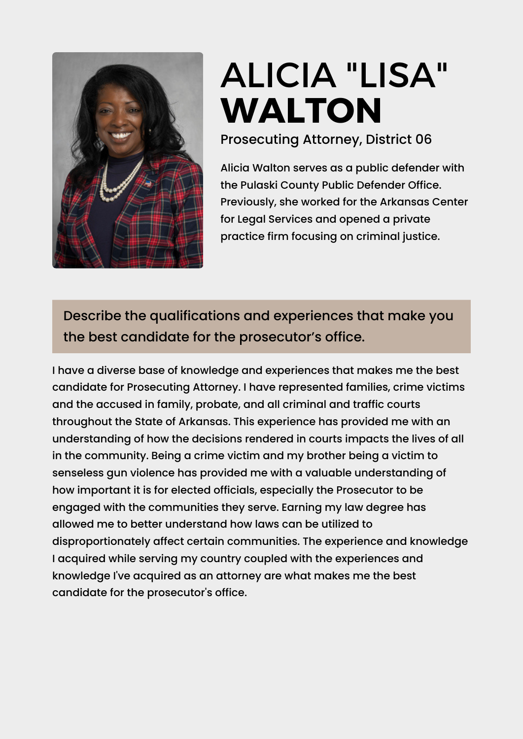

## ALICIA "LISA" **[WALTON](https://www.ark.org/arelections/index.php?ac:show:cand_search=1&candid=3604)**

Prosecuting Attorney, District 06

Alicia Walton serves as a public defender with the Pulaski County Public Defender Office. Previously, she worked for the Arkansas Center for Legal Services and opened a private practice firm focusing on criminal justice.

## Describe the qualifications and experiences that make you the best candidate for the prosecutor's office.

I have a diverse base of knowledge and experiences that makes me the best candidate for Prosecuting Attorney. I have represented families, crime victims and the accused in family, probate, and all criminal and traffic courts throughout the State of Arkansas. This experience has provided me with an understanding of how the decisions rendered in courts impacts the lives of all in the community. Being a crime victim and my brother being a victim to senseless gun violence has provided me with a valuable understanding of how important it is for elected officials, especially the Prosecutor to be engaged with the communities they serve. Earning my law degree has allowed me to better understand how laws can be utilized to disproportionately affect certain communities. The experience and knowledge I acquired while serving my country coupled with the experiences and knowledge I've acquired as an attorney are what makes me the best candidate for the prosecutor's office.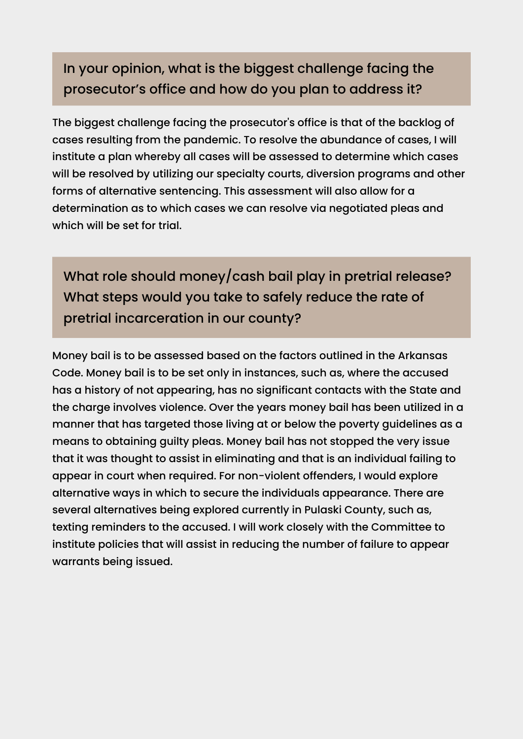## In your opinion, what is the biggest challenge facing the prosecutor's office and how do you plan to address it?

The biggest challenge facing the prosecutor's office is that of the backlog of cases resulting from the pandemic. To resolve the abundance of cases, I will institute a plan whereby all cases will be assessed to determine which cases will be resolved by utilizing our specialty courts, diversion programs and other forms of alternative sentencing. This assessment will also allow for a determination as to which cases we can resolve via negotiated pleas and which will be set for trial.

What role should money/cash bail play in pretrial release? What steps would you take to safely reduce the rate of pretrial incarceration in our county?

Money bail is to be assessed based on the factors outlined in the Arkansas Code. Money bail is to be set only in instances, such as, where the accused has a history of not appearing, has no significant contacts with the State and the charge involves violence. Over the years money bail has been utilized in a manner that has targeted those living at or below the poverty guidelines as a means to obtaining guilty pleas. Money bail has not stopped the very issue that it was thought to assist in eliminating and that is an individual failing to appear in court when required. For non-violent offenders, I would explore alternative ways in which to secure the individuals appearance. There are several alternatives being explored currently in Pulaski County, such as, texting reminders to the accused. I will work closely with the Committee to institute policies that will assist in reducing the number of failure to appear warrants being issued.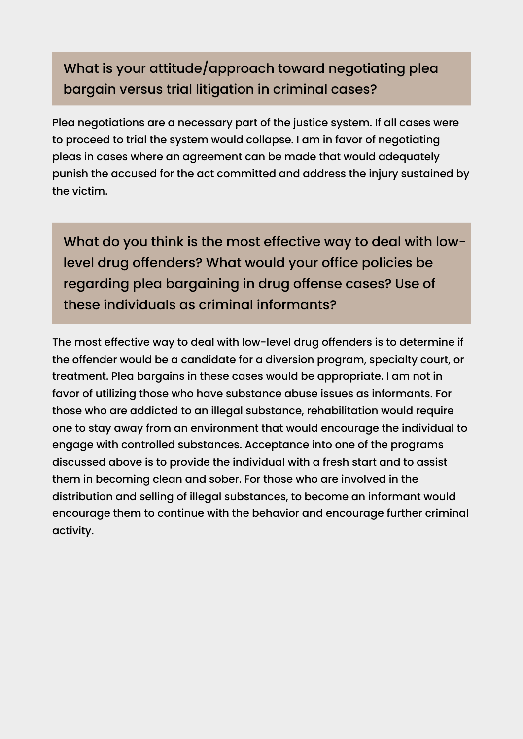## What is your attitude/approach toward negotiating plea bargain versus trial litigation in criminal cases?

Plea negotiations are a necessary part of the justice system. If all cases were to proceed to trial the system would collapse. I am in favor of negotiating pleas in cases where an agreement can be made that would adequately punish the accused for the act committed and address the injury sustained by the victim.

What do you think is the most effective way to deal with lowlevel drug offenders? What would your office policies be regarding plea bargaining in drug offense cases? Use of these individuals as criminal informants?

The most effective way to deal with low-level drug offenders is to determine if the offender would be a candidate for a diversion program, specialty court, or treatment. Plea bargains in these cases would be appropriate. I am not in favor of utilizing those who have substance abuse issues as informants. For those who are addicted to an illegal substance, rehabilitation would require one to stay away from an environment that would encourage the individual to engage with controlled substances. Acceptance into one of the programs discussed above is to provide the individual with a fresh start and to assist them in becoming clean and sober. For those who are involved in the distribution and selling of illegal substances, to become an informant would encourage them to continue with the behavior and encourage further criminal activity.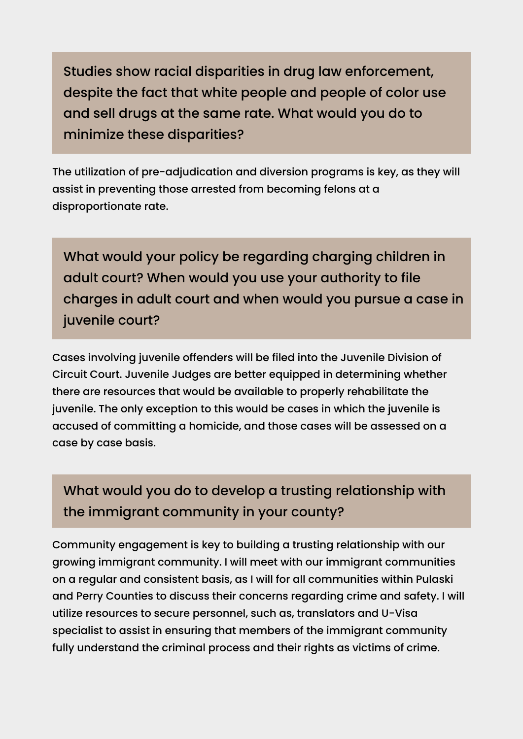Studies show racial disparities in drug law enforcement, despite the fact that white people and people of color use and sell drugs at the same rate. What would you do to minimize these disparities?

The utilization of pre-adjudication and diversion programs is key, as they will assist in preventing those arrested from becoming felons at a disproportionate rate.

What would your policy be regarding charging children in adult court? When would you use your authority to file charges in adult court and when would you pursue a case in juvenile court?

Cases involving juvenile offenders will be filed into the Juvenile Division of Circuit Court. Juvenile Judges are better equipped in determining whether there are resources that would be available to properly rehabilitate the juvenile. The only exception to this would be cases in which the juvenile is accused of committing a homicide, and those cases will be assessed on a case by case basis.

What would you do to develop a trusting relationship with the immigrant community in your county?

Community engagement is key to building a trusting relationship with our growing immigrant community. I will meet with our immigrant communities on a regular and consistent basis, as I will for all communities within Pulaski and Perry Counties to discuss their concerns regarding crime and safety. I will utilize resources to secure personnel, such as, translators and U-Visa specialist to assist in ensuring that members of the immigrant community fully understand the criminal process and their rights as victims of crime.